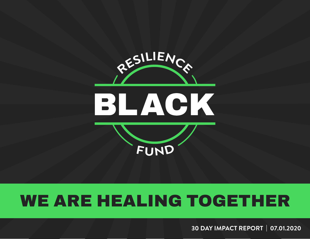

# WE ARE HEALING TOGETHER

**30 DAY IMPACT REPORT | 07.01.2020**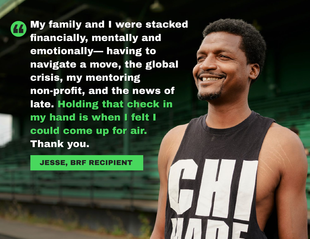My family and I were stacked " financially, mentally and financially, mentally and emotionally— having to emotionally— having to navigate a move, the global navigate a move, the global crisis, my mentoring crisis, my mentoring non-profit, and the news of non-profit, and the news of late. Holding that check in late. Holding that check in my hand is when I felt I my hand is when I felt I could come up for air. could come up for air. Thank you. Thank you.

JESSE, BRF RECIPIENT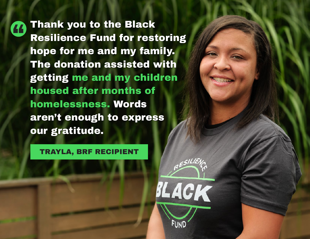Thank you to the Black 44 Resilience Fund for restoring Resilience Fund for restoring hope for me and my family. hope for me and my family. The donation assisted with The donation assisted with getting me and my children getting me and my children housed after months of housed after months of homelessness. Words homelessness. Words aren't enough to express our gratitude. our gratitude.

#### TRAYLA, BRF RECIPIENT

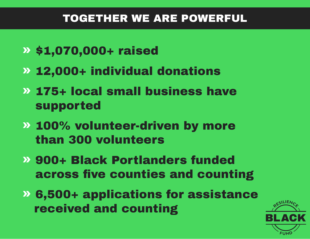### TOGETHER WE ARE POWERFUL

- » \$1,070,000+ raised
- » 12,000+ individual donations
- » 175+ local small business have supported
- » 100% volunteer-driven by more than 300 volunteers
- » 900+ Black Portlanders funded across five counties and counting
- » 6,500+ applications for assistance received and counting

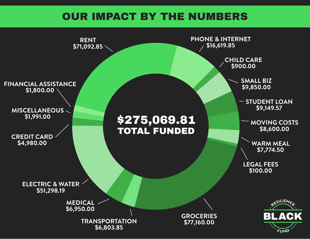#### OUR IMPACT BY THE NUMBERS

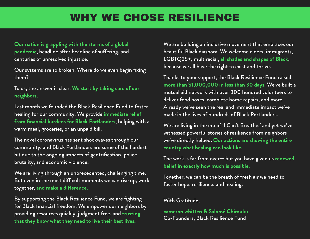### **WHY WE CHOSE RESILIENCE**

**Our nation is grappling with the storms of a global**  pandemic, headline after headline of suffering, and centuries of unresolved injustice.

Our systems are so broken. Where do we even begin fixing them?

To us, the answer is clear. **We start by taking care of our neighbors.**

Last month we founded the Black Resilience Fund to foster healing for our community. We provide **immediate relief from financial burdens for Black Portlanders**, helping with a warm meal, groceries, or an unpaid bill.

The novel coronavirus has sent shockwaves through our community, and Black Portlanders are some of the hardest hit due to the ongoing impacts of gentrification, police brutality, and economic violence.

We are living through an unprecedented, challenging time. But even in the most difficult moments we can rise up, work together, and make a difference.

By supporting the Black Resilience Fund, we are fighting for Black financial freedom. We empower our neighbors by providing resources quickly, judgment free, and **trusting that they know what they need to live their best lives.** 

We are building an inclusive movement that embraces our beautiful Black diaspora. We welcome elders, immigrants, LGBTQ2S+, multiracial, **all shades and shapes of Black**, because we all have the right to exist and thrive.

Thanks to your support, the Black Resilience Fund raised **more than \$1,000,000 in less than 30 days.** We've built a mutual aid network with over 300 hundred volunteers to deliver food boxes, complete home repairs, and more. Already we've seen the real and immediate impact we've made in the lives of hundreds of Black Portlanders.

We are living in the era of 'I Can't Breathe,' and yet we've witnessed powerful stories of resilience from neighbors we've directly helped. **Our actions are showing the entire country what healing can look like.**

The work is far from over— but you have given us **renewed belief in exactly how much is possible.** 

Together, we can be the breath of fresh air we need to foster hope, resilience, and healing.

#### With Gratitude,

**cameron whitten & Salomé Chimuku** Co-Founders, Black Resilience Fund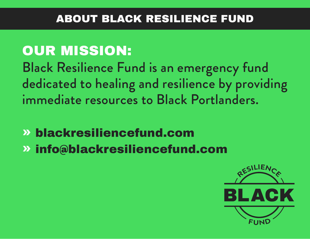#### ABOUT BLACK RESILIENCE FUND

## OUR MISSION: Black Resilience Fund is an emergency fund dedicated to healing and resilience by providing immediate resources to Black Portlanders.

- » blackresiliencefund.com
- » info@blackresiliencefund.com

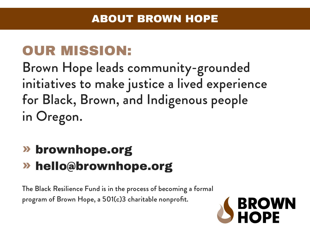### OUR MISSION:

Brown Hope leads community-grounded initiatives to make justice a lived experience for Black, Brown, and Indigenous people in Oregon.

## » brownhope.org » hello@brownhope.org

The Black Resilience Fund is in the process of becoming a formal program of Brown Hope, a 501(c)3 charitable nonprofit.